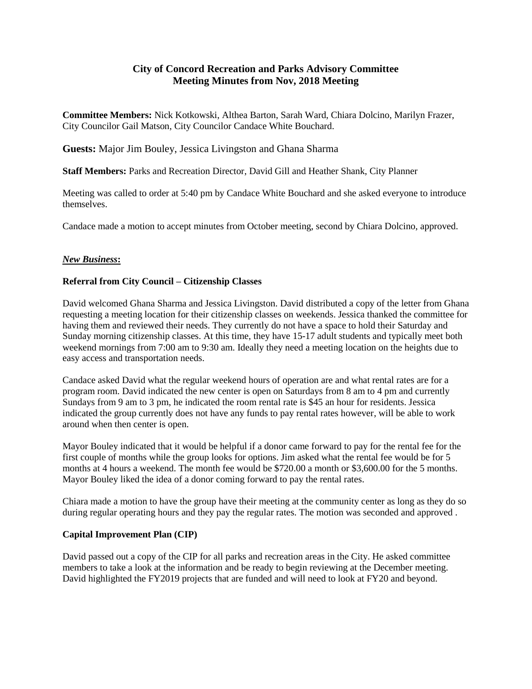# **City of Concord Recreation and Parks Advisory Committee Meeting Minutes from Nov, 2018 Meeting**

**Committee Members:** Nick Kotkowski, Althea Barton, Sarah Ward, Chiara Dolcino, Marilyn Frazer, City Councilor Gail Matson, City Councilor Candace White Bouchard.

**Guests:** Major Jim Bouley, Jessica Livingston and Ghana Sharma

**Staff Members:** Parks and Recreation Director, David Gill and Heather Shank, City Planner

Meeting was called to order at 5:40 pm by Candace White Bouchard and she asked everyone to introduce themselves.

Candace made a motion to accept minutes from October meeting, second by Chiara Dolcino, approved.

## *New Business***:**

## **Referral from City Council – Citizenship Classes**

David welcomed Ghana Sharma and Jessica Livingston. David distributed a copy of the letter from Ghana requesting a meeting location for their citizenship classes on weekends. Jessica thanked the committee for having them and reviewed their needs. They currently do not have a space to hold their Saturday and Sunday morning citizenship classes. At this time, they have 15-17 adult students and typically meet both weekend mornings from 7:00 am to 9:30 am. Ideally they need a meeting location on the heights due to easy access and transportation needs.

Candace asked David what the regular weekend hours of operation are and what rental rates are for a program room. David indicated the new center is open on Saturdays from 8 am to 4 pm and currently Sundays from 9 am to 3 pm, he indicated the room rental rate is \$45 an hour for residents. Jessica indicated the group currently does not have any funds to pay rental rates however, will be able to work around when then center is open.

Mayor Bouley indicated that it would be helpful if a donor came forward to pay for the rental fee for the first couple of months while the group looks for options. Jim asked what the rental fee would be for 5 months at 4 hours a weekend. The month fee would be \$720.00 a month or \$3,600.00 for the 5 months. Mayor Bouley liked the idea of a donor coming forward to pay the rental rates.

Chiara made a motion to have the group have their meeting at the community center as long as they do so during regular operating hours and they pay the regular rates. The motion was seconded and approved .

#### **Capital Improvement Plan (CIP)**

David passed out a copy of the CIP for all parks and recreation areas in the City. He asked committee members to take a look at the information and be ready to begin reviewing at the December meeting. David highlighted the FY2019 projects that are funded and will need to look at FY20 and beyond.